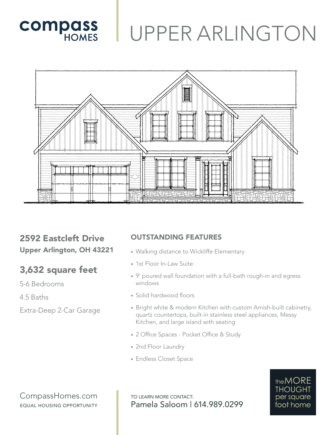

## UPPER ARLINGTON



### 2592 Eastcleft Drive Upper Arlington, OH 43221

## 3,632 square feet

5-6 Bedrooms

4.5 Baths

Extra-Deep 2-Car Garage

#### OUTSTANDING FEATURES

- Walking distance to Wickliffe Elementary
- 1st Floor In-Law Suite
- 9' poured wall foundation with a full-bath rough-in and egress windows
- Solid hardwood floors
- Bright white & modern Kitchen with custom Amish-built cabinetry, quartz countertops, built-in stainless steel appliances, Messy Kitchen, and large island with seating
- 2 Office Spaces Pocket Office & Study
- 2nd Floor Laundry
- Endless Closet Space

#### CompassHomes.com EQUAL HOUSING OPPORTUNITY

TO LEARN MORE CONTACT: Pamela Saloom | 614.989.0299